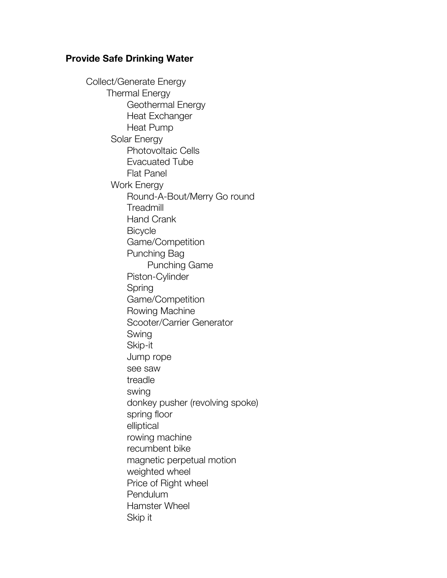## **Provide Safe Drinking Water**

Collect/Generate Energy Thermal Energy Geothermal Energy Heat Exchanger Heat Pump Solar Energy Photovoltaic Cells Evacuated Tube Flat Panel Work Energy Round-A-Bout/Merry Go round **Treadmill** Hand Crank **Bicycle** Game/Competition Punching Bag Punching Game Piston-Cylinder Spring Game/Competition Rowing Machine Scooter/Carrier Generator Swing Skip-it Jump rope see saw treadle swing donkey pusher (revolving spoke) spring floor elliptical rowing machine recumbent bike magnetic perpetual motion weighted wheel Price of Right wheel Pendulum Hamster Wheel Skip it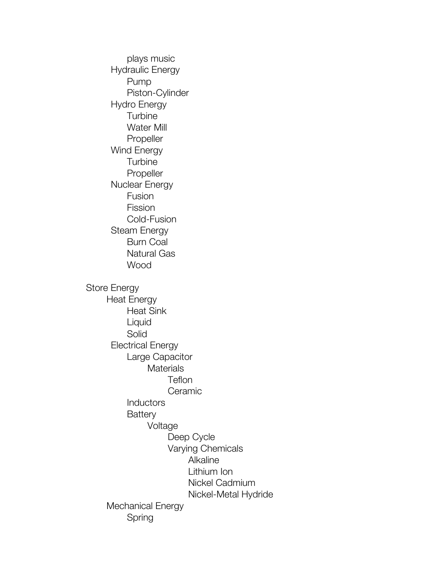plays music Hydraulic Energy Pump Piston-Cylinder Hydro Energy **Turbine** Water Mill Propeller Wind Energy **Turbine** Propeller Nuclear Energy Fusion Fission Cold-Fusion Steam Energy Burn Coal Natural Gas Wood Store Energy Heat Energy Heat Sink Liquid Solid Electrical Energy Large Capacitor **Materials Teflon Ceramic Inductors Battery** Voltage Deep Cycle Varying Chemicals Alkaline Lithium Ion Nickel Cadmium Nickel-Metal Hydride Mechanical Energy Spring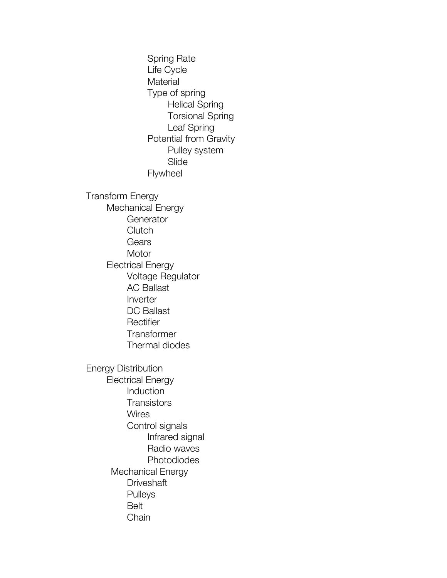Spring Rate Life Cycle **Material** Type of spring Helical Spring Torsional Spring Leaf Spring Potential from Gravity Pulley system Slide Flywheel Transform Energy Mechanical Energy **Generator Clutch** Gears **Motor** Electrical Energy Voltage Regulator AC Ballast Inverter DC Ballast **Rectifier Transformer** Thermal diodes Energy Distribution Electrical Energy Induction **Transistors Wires** Control signals Infrared signal Radio waves Photodiodes Mechanical Energy **Driveshaft** Pulleys Belt Chain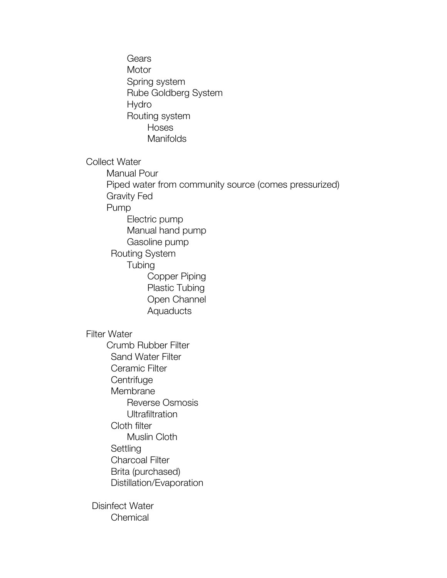Gears **Motor** Spring system Rube Goldberg System Hydro Routing system Hoses **Manifolds** Collect Water Manual Pour Piped water from community source (comes pressurized) Gravity Fed Pump Electric pump Manual hand pump Gasoline pump Routing System **Tubing** Copper Piping Plastic Tubing Open Channel **Aquaducts** Filter Water Crumb Rubber Filter Sand Water Filter Ceramic Filter **Centrifuge** Membrane Reverse Osmosis **Ultrafiltration** Cloth filter Muslin Cloth **Settling** Charcoal Filter Brita (purchased) Distillation/Evaporation Disinfect Water **Chemical**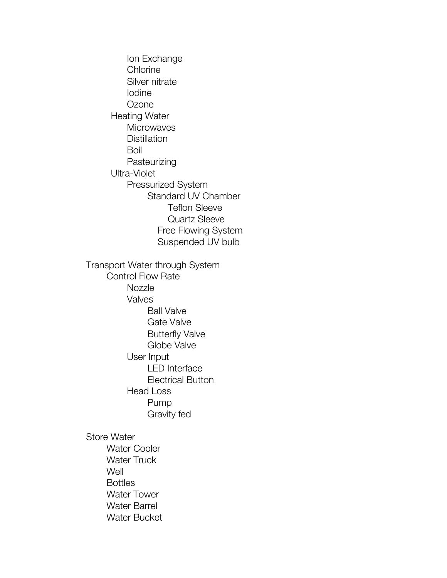Ion Exchange **Chlorine** Silver nitrate Iodine **Ozone** Heating Water **Microwaves Distillation** Boil **Pasteurizing** Ultra-Violet Pressurized System Standard UV Chamber Teflon Sleeve Quartz Sleeve Free Flowing System Suspended UV bulb Transport Water through System Control Flow Rate **Nozzle** Valves Ball Valve Gate Valve Butterfly Valve Globe Valve User Input LED Interface Electrical Button Head Loss Pump Gravity fed Store Water Water Cooler Water Truck **Well Bottles** Water Tower Water Barrel Water Bucket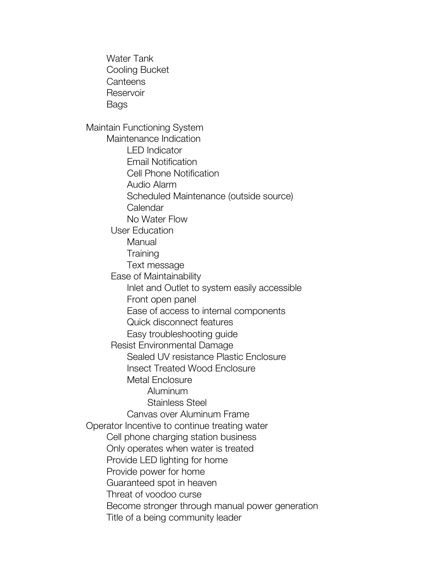Water Tank Cooling Bucket **Canteens Reservoir** Bags Maintain Functioning System Maintenance Indication LED Indicator Email Notification Cell Phone Notification Audio Alarm Scheduled Maintenance (outside source) Calendar No Water Flow User Education **Manual Training** Text message Ease of Maintainability Inlet and Outlet to system easily accessible Front open panel Ease of access to internal components Quick disconnect features Easy troubleshooting guide Resist Environmental Damage Sealed UV resistance Plastic Enclosure Insect Treated Wood Enclosure Metal Enclosure Aluminum Stainless Steel Canvas over Aluminum Frame Operator Incentive to continue treating water Cell phone charging station business Only operates when water is treated Provide LED lighting for home Provide power for home Guaranteed spot in heaven Threat of voodoo curse Become stronger through manual power generation Title of a being community leader